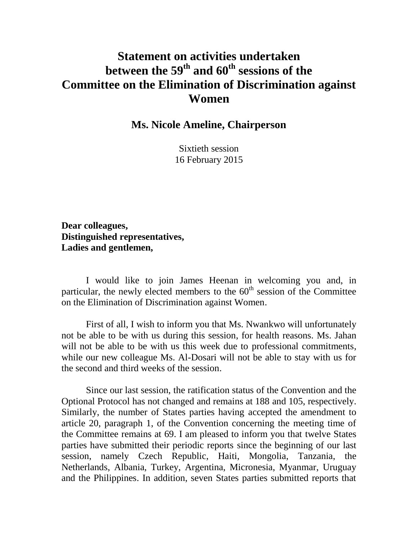## **Statement on activities undertaken between the 59 th and 60th sessions of the Committee on the Elimination of Discrimination against Women**

**Ms. Nicole Ameline, Chairperson**

Sixtieth session 16 February 2015

**Dear colleagues, Distinguished representatives, Ladies and gentlemen,**

I would like to join James Heenan in welcoming you and, in particular, the newly elected members to the  $60<sup>th</sup>$  session of the Committee on the Elimination of Discrimination against Women.

First of all, I wish to inform you that Ms. Nwankwo will unfortunately not be able to be with us during this session, for health reasons. Ms. Jahan will not be able to be with us this week due to professional commitments, while our new colleague Ms. Al-Dosari will not be able to stay with us for the second and third weeks of the session.

Since our last session, the ratification status of the Convention and the Optional Protocol has not changed and remains at 188 and 105, respectively. Similarly, the number of States parties having accepted the amendment to article 20, paragraph 1, of the Convention concerning the meeting time of the Committee remains at 69. I am pleased to inform you that twelve States parties have submitted their periodic reports since the beginning of our last session, namely Czech Republic, Haiti, Mongolia, Tanzania, the Netherlands, Albania, Turkey, Argentina, Micronesia, Myanmar, Uruguay and the Philippines. In addition, seven States parties submitted reports that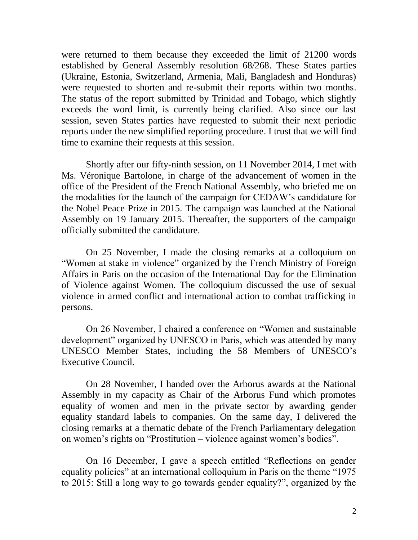were returned to them because they exceeded the limit of 21200 words established by General Assembly resolution 68/268. These States parties (Ukraine, Estonia, Switzerland, Armenia, Mali, Bangladesh and Honduras) were requested to shorten and re-submit their reports within two months. The status of the report submitted by Trinidad and Tobago, which slightly exceeds the word limit, is currently being clarified. Also since our last session, seven States parties have requested to submit their next periodic reports under the new simplified reporting procedure. I trust that we will find time to examine their requests at this session.

Shortly after our fifty-ninth session, on 11 November 2014, I met with Ms. Véronique Bartolone, in charge of the advancement of women in the office of the President of the French National Assembly, who briefed me on the modalities for the launch of the campaign for CEDAW's candidature for the Nobel Peace Prize in 2015. The campaign was launched at the National Assembly on 19 January 2015. Thereafter, the supporters of the campaign officially submitted the candidature.

On 25 November, I made the closing remarks at a colloquium on "Women at stake in violence" organized by the French Ministry of Foreign Affairs in Paris on the occasion of the International Day for the Elimination of Violence against Women. The colloquium discussed the use of sexual violence in armed conflict and international action to combat trafficking in persons.

On 26 November, I chaired a conference on "Women and sustainable development" organized by UNESCO in Paris, which was attended by many UNESCO Member States, including the 58 Members of UNESCO's Executive Council.

On 28 November, I handed over the Arborus awards at the National Assembly in my capacity as Chair of the Arborus Fund which promotes equality of women and men in the private sector by awarding gender equality standard labels to companies. On the same day, I delivered the closing remarks at a thematic debate of the French Parliamentary delegation on women's rights on "Prostitution – violence against women's bodies".

On 16 December, I gave a speech entitled "Reflections on gender equality policies" at an international colloquium in Paris on the theme "1975 to 2015: Still a long way to go towards gender equality?", organized by the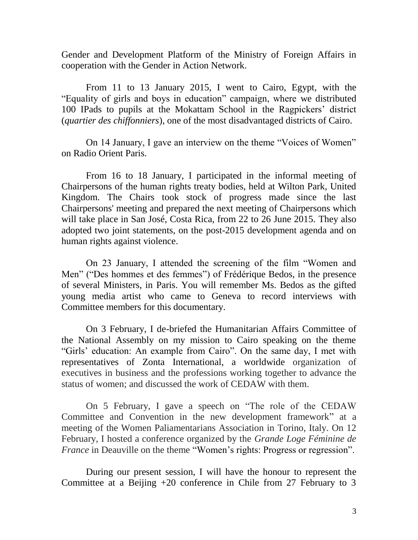Gender and Development Platform of the Ministry of Foreign Affairs in cooperation with the Gender in Action Network.

From 11 to 13 January 2015, I went to Cairo, Egypt, with the "Equality of girls and boys in education" campaign, where we distributed 100 IPads to pupils at the Mokattam School in the Ragpickers' district (*quartier des chiffonniers*), one of the most disadvantaged districts of Cairo.

On 14 January, I gave an interview on the theme "Voices of Women" on Radio Orient Paris.

From 16 to 18 January, I participated in the informal meeting of Chairpersons of the human rights treaty bodies, held at Wilton Park, United Kingdom. The Chairs took stock of progress made since the last Chairpersons' meeting and prepared the next meeting of Chairpersons which will take place in San José, Costa Rica, from 22 to 26 June 2015. They also adopted two joint statements, on the post-2015 development agenda and on human rights against violence.

On 23 January, I attended the screening of the film "Women and Men" ("Des hommes et des femmes") of Frédérique Bedos, in the presence of several Ministers, in Paris. You will remember Ms. Bedos as the gifted young media artist who came to Geneva to record interviews with Committee members for this documentary.

On 3 February, I de-briefed the Humanitarian Affairs Committee of the National Assembly on my mission to Cairo speaking on the theme "Girls' education: An example from Cairo". On the same day, I met with representatives of Zonta International, a worldwide organization of executives in business and the professions working together to advance the status of women; and discussed the work of CEDAW with them.

On 5 February, I gave a speech on "The role of the CEDAW Committee and Convention in the new development framework" at a meeting of the Women Paliamentarians Association in Torino, Italy. On 12 February, I hosted a conference organized by the *Grande Loge Féminine de France* in Deauville on the theme "Women's rights: Progress or regression".

During our present session, I will have the honour to represent the Committee at a Beijing +20 conference in Chile from 27 February to 3